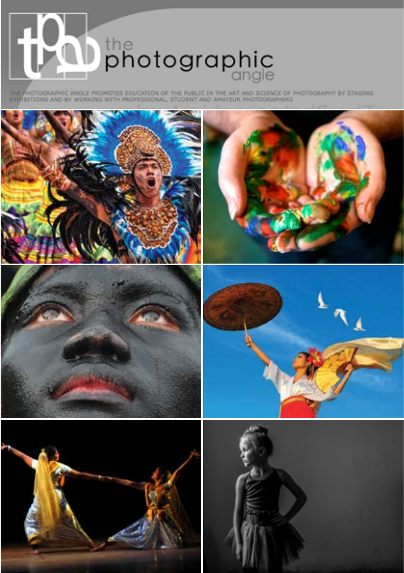

THE PHOTOGRAPHIC ANGLE PROMOTES EDUCATION OF THE PUBLIC IN THE ART AND SCIENCE OF PHOTOGRAPHY BY STAGING

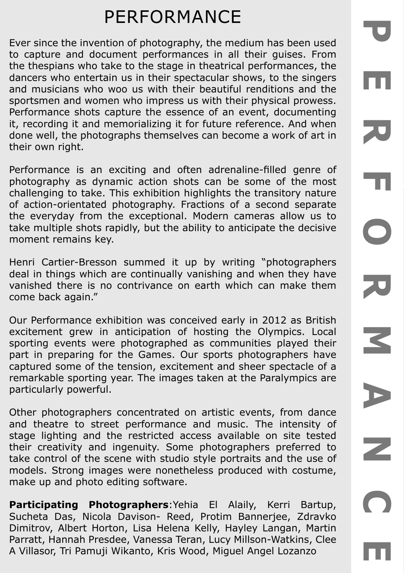# PERFORMANCE

Ever since the invention of photography, the medium has been used to capture and document performances in all their guises. From the thespians who take to the stage in theatrical performances, the dancers who entertain us in their spectacular shows, to the singers and musicians who woo us with their beautiful renditions and the sportsmen and women who impress us with their physical prowess. Performance shots capture the essence of an event, documenting it, recording it and memorializing it for future reference. And when done well, the photographs themselves can become a work of art in their own right.

Performance is an exciting and often adrenaline-filled genre of photography as dynamic action shots can be some of the most challenging to take. This exhibition highlights the transitory nature of action-orientated photography. Fractions of a second separate the everyday from the exceptional. Modern cameras allow us to take multiple shots rapidly, but the ability to anticipate the decisive moment remains key.

Henri Cartier-Bresson summed it up by writing "photographers deal in things which are continually vanishing and when they have vanished there is no contrivance on earth which can make them come back again."

Our Performance exhibition was conceived early in 2012 as British excitement grew in anticipation of hosting the Olympics. Local sporting events were photographed as communities played their part in preparing for the Games. Our sports photographers have captured some of the tension, excitement and sheer spectacle of a remarkable sporting year. The images taken at the Paralympics are particularly powerful.

Other photographers concentrated on artistic events, from dance and theatre to street performance and music. The intensity of stage lighting and the restricted access available on site tested their creativity and ingenuity. Some photographers preferred to take control of the scene with studio style portraits and the use of models. Strong images were nonetheless produced with costume, make up and photo editing software.

**Participating Photographers**:Yehia El Alaily, Kerri Bartup, Sucheta Das, Nicola Davison- Reed, Protim Bannerjee, Zdravko Dimitrov, Albert Horton, Lisa Helena Kelly, Hayley Langan, Martin Parratt, Hannah Presdee, Vanessa Teran, Lucy Millson-Watkins, Clee A Villasor, Tri Pamuji Wikanto, Kris Wood, Miguel Angel Lozanzo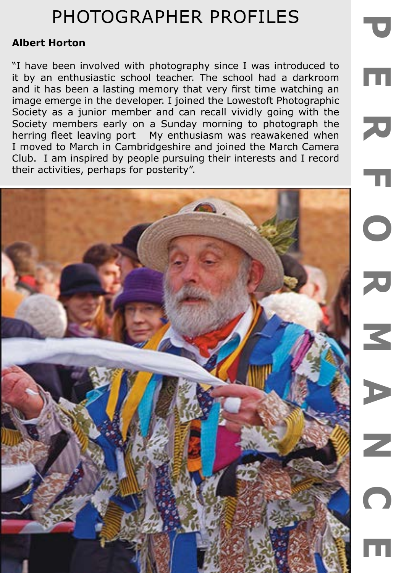### **Albert Horton**

"I have been involved with photography since I was introduced to it by an enthusiastic school teacher. The school had a darkroom and it has been a lasting memory that very first time watching an image emerge in the developer. I joined the Lowestoft Photographic Society as a junior member and can recall vividly going with the Society members early on a Sunday morning to photograph the herring fleet leaving port My enthusiasm was reawakened when I moved to March in Cambridgeshire and joined the March Camera Club. I am inspired by people pursuing their interests and I record their activities, perhaps for posterity".

m

70

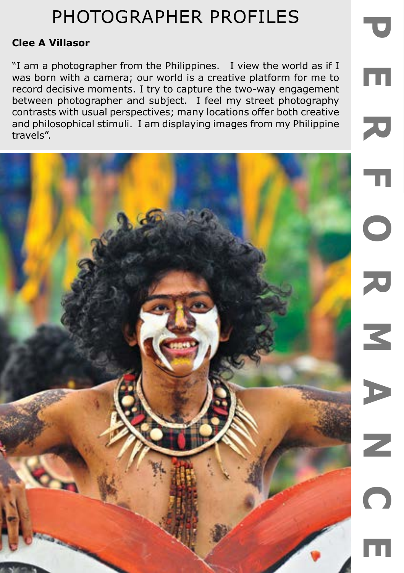$\overline{\mathbf{U}}$ 

m

### **Clee A Villasor**

"I am a photographer from the Philippines. I view the world as if I was born with a camera; our world is a creative platform for me to record decisive moments. I try to capture the two-way engagement between photographer and subject. I feel my street photography contrasts with usual perspectives; many locations offer both creative and philosophical stimuli. I am displaying images from my Philippine travels".

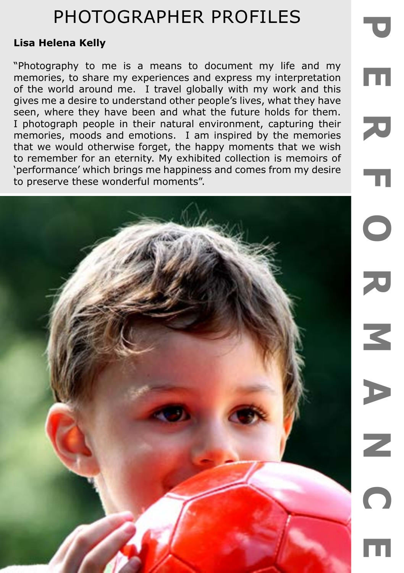### **Lisa Helena Kelly**

"Photography to me is a means to document my life and my memories, to share my experiences and express my interpretation of the world around me. I travel globally with my work and this gives me a desire to understand other people's lives, what they have seen, where they have been and what the future holds for them. I photograph people in their natural environment, capturing their memories, moods and emotions. I am inspired by the memories that we would otherwise forget, the happy moments that we wish to remember for an eternity. My exhibited collection is memoirs of 'performance' which brings me happiness and comes from my desire to preserve these wonderful moments".

m

刀

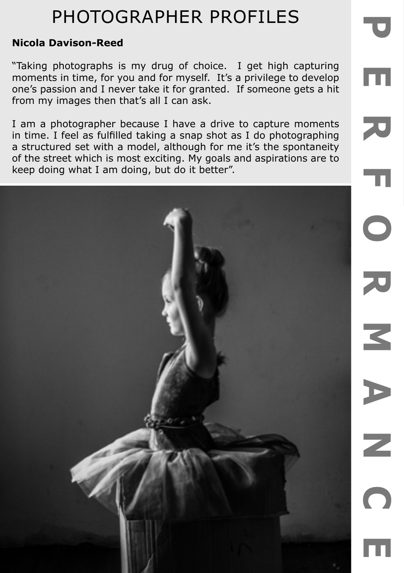#### **Nicola Davison-Reed**

"Taking photographs is my drug of choice. I get high capturing moments in time, for you and for myself. It's a privilege to develop one's passion and I never take it for granted. If someone gets a hit from my images then that's all I can ask.

m

70

I am a photographer because I have a drive to capture moments in time. I feel as fulfilled taking a snap shot as I do photographing a structured set with a model, although for me it's the spontaneity of the street which is most exciting. My goals and aspirations are to keep doing what I am doing, but do it better".

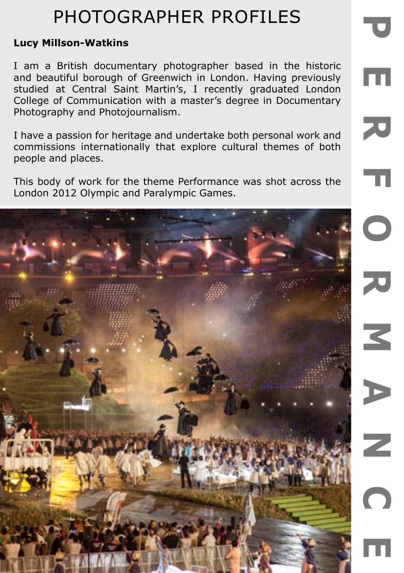### **Lucy Millson-Watkins**

I am a British documentary photographer based in the historic and beautiful borough of Greenwich in London. Having previously studied at Central Saint Martin's, I recently graduated London College of Communication with a master's degree in Documentary Photography and Photojournalism.

m

70

m

I have a passion for heritage and undertake both personal work and commissions internationally that explore cultural themes of both people and places.

This body of work for the theme Performance was shot across the London 2012 Olympic and Paralympic Games.

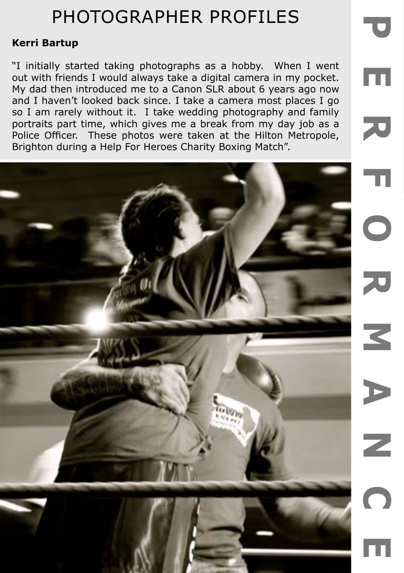### **Kerri Bartup**

"I initially started taking photographs as a hobby. When I went out with friends I would always take a digital camera in my pocket. My dad then introduced me to a Canon SLR about 6 years ago now and I haven't looked back since. I take a camera most places I go so I am rarely without it. I take wedding photography and family portraits part time, which gives me a break from my day job as a Police Officer. These photos were taken at the Hilton Metropole, Brighton during a Help For Heroes Charity Boxing Match".

m

70

C

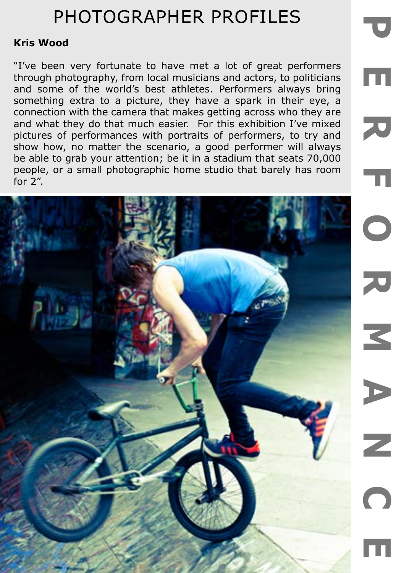### **Kris Wood**

"I've been very fortunate to have met a lot of great performers through photography, from local musicians and actors, to politicians and some of the world's best athletes. Performers always bring something extra to a picture, they have a spark in their eye, a connection with the camera that makes getting across who they are and what they do that much easier. For this exhibition I've mixed pictures of performances with portraits of performers, to try and show how, no matter the scenario, a good performer will always be able to grab your attention; be it in a stadium that seats 70,000 people, or a small photographic home studio that barely has room for 2".

m

70

m

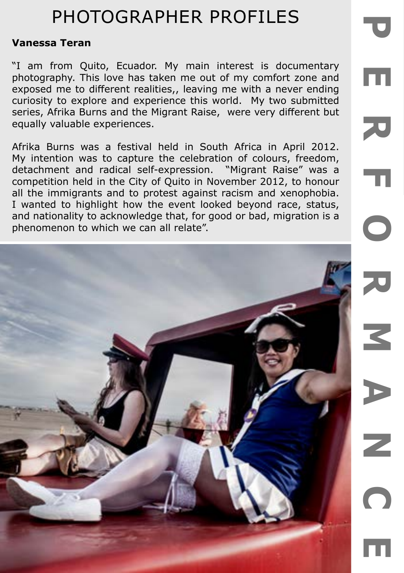#### **Vanessa Teran**

"I am from Quito, Ecuador. My main interest is documentary photography. This love has taken me out of my comfort zone and exposed me to different realities,, leaving me with a never ending curiosity to explore and experience this world. My two submitted series, Afrika Burns and the Migrant Raise, were very different but equally valuable experiences.

Afrika Burns was a festival held in South Africa in April 2012. My intention was to capture the celebration of colours, freedom, detachment and radical self-expression. "Migrant Raise" was a competition held in the City of Quito in November 2012, to honour all the immigrants and to protest against racism and xenophobia. I wanted to highlight how the event looked beyond race, status, and nationality to acknowledge that, for good or bad, migration is a phenomenon to which we can all relate".

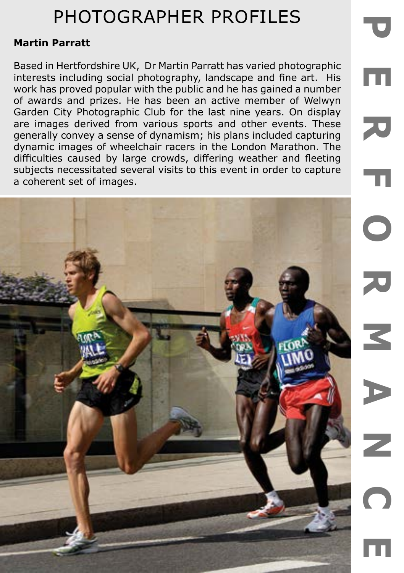#### **Martin Parratt**

Based in Hertfordshire UK, Dr Martin Parratt has varied photographic interests including social photography, landscape and fine art. His work has proved popular with the public and he has gained a number of awards and prizes. He has been an active member of Welwyn Garden City Photographic Club for the last nine years. On display are images derived from various sports and other events. These generally convey a sense of dynamism; his plans included capturing dynamic images of wheelchair racers in the London Marathon. The difficulties caused by large crowds, differing weather and fleeting subjects necessitated several visits to this event in order to capture a coherent set of images.

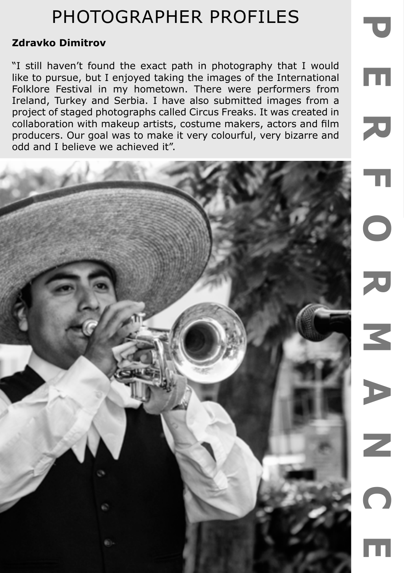## **Zdravko Dimitrov**

"I still haven't found the exact path in photography that I would like to pursue, but I enjoyed taking the images of the International Folklore Festival in my hometown. There were performers from Ireland, Turkey and Serbia. I have also submitted images from a project of staged photographs called Circus Freaks. It was created in collaboration with makeup artists, costume makers, actors and film producers. Our goal was to make it very colourful, very bizarre and odd and I believe we achieved it".

m

70

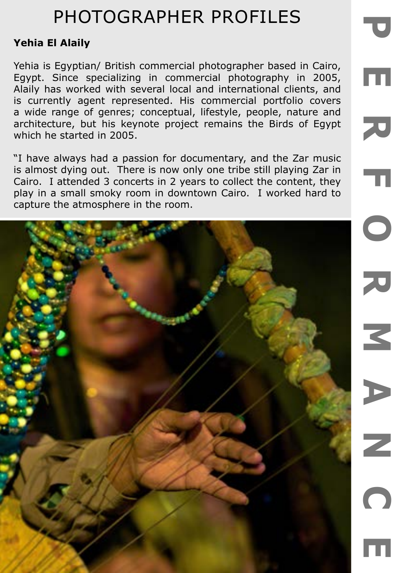### **Yehia El Alaily**

Yehia is Egyptian/ British commercial photographer based in Cairo, Egypt. Since specializing in commercial photography in 2005, Alaily has worked with several local and international clients, and is currently agent represented. His commercial portfolio covers a wide range of genres; conceptual, lifestyle, people, nature and architecture, but his keynote project remains the Birds of Egypt which he started in 2005.

m

刀

 $\overline{\mathbf{u}}$ 

"I have always had a passion for documentary, and the Zar music is almost dying out. There is now only one tribe still playing Zar in Cairo. I attended 3 concerts in 2 years to collect the content, they play in a small smoky room in downtown Cairo. I worked hard to capture the atmosphere in the room.

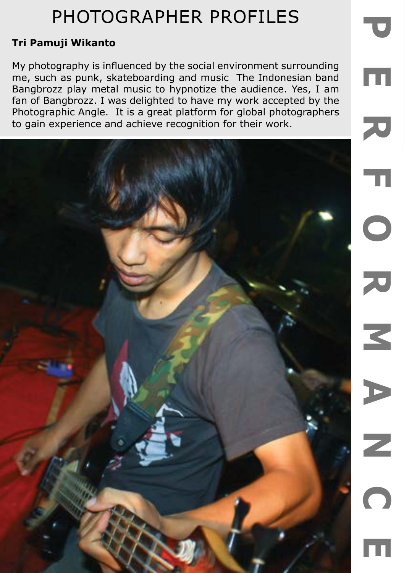U

m

### **Tri Pamuji Wikanto**

My photography is influenced by the social environment surrounding me, such as punk, skateboarding and music The Indonesian band Bangbrozz play metal music to hypnotize the audience. Yes, I am fan of Bangbrozz. I was delighted to have my work accepted by the Photographic Angle. It is a great platform for global photographers to gain experience and achieve recognition for their work.

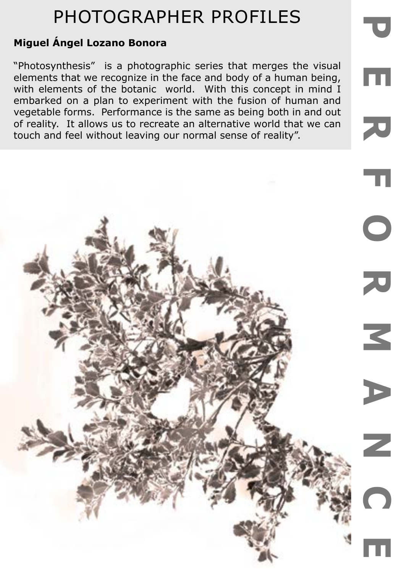## **Miguel Ángel Lozano Bonora**

"Photosynthesis" is a photographic series that merges the visual elements that we recognize in the face and body of a human being, with elements of the botanic world. With this concept in mind I embarked on a plan to experiment with the fusion of human and vegetable forms. Performance is the same as being both in and out of reality. It allows us to recreate an alternative world that we can touch and feel without leaving our normal sense of reality".

m

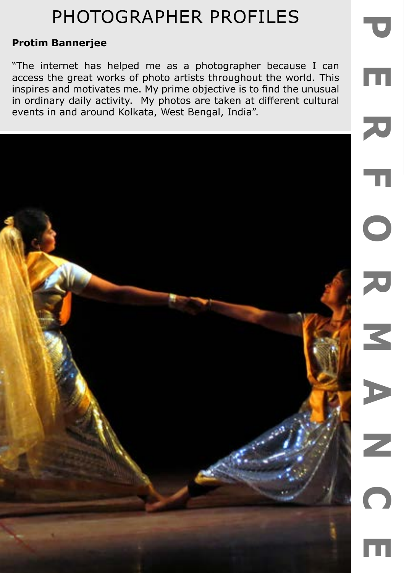$\overline{\mathbf{C}}$ 

m

### **Protim Bannerjee**

"The internet has helped me as a photographer because I can access the great works of photo artists throughout the world. This inspires and motivates me. My prime objective is to find the unusual in ordinary daily activity. My photos are taken at different cultural events in and around Kolkata, West Bengal, India".

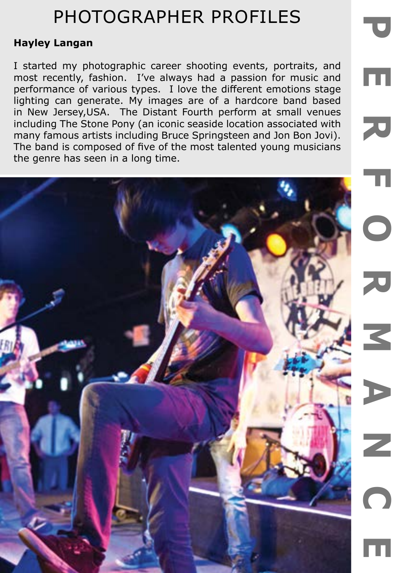### **Hayley Langan**

I started my photographic career shooting events, portraits, and most recently, fashion. I've always had a passion for music and performance of various types. I love the different emotions stage lighting can generate. My images are of a hardcore band based in New Jersey,USA. The Distant Fourth perform at small venues including The Stone Pony (an iconic seaside location associated with many famous artists including Bruce Springsteen and Jon Bon Jovi). The band is composed of five of the most talented young musicians the genre has seen in a long time.

m

70

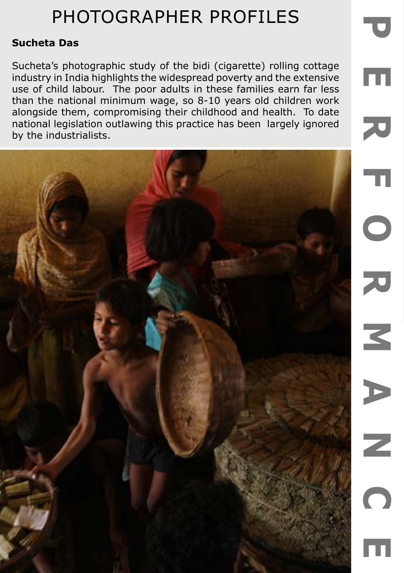### **Sucheta Das**

Sucheta's photographic study of the bidi (cigarette) rolling cottage industry in India highlights the widespread poverty and the extensive use of child labour. The poor adults in these families earn far less than the national minimum wage, so 8-10 years old children work alongside them, compromising their childhood and health. To date national legislation outlawing this practice has been largely ignored by the industrialists.